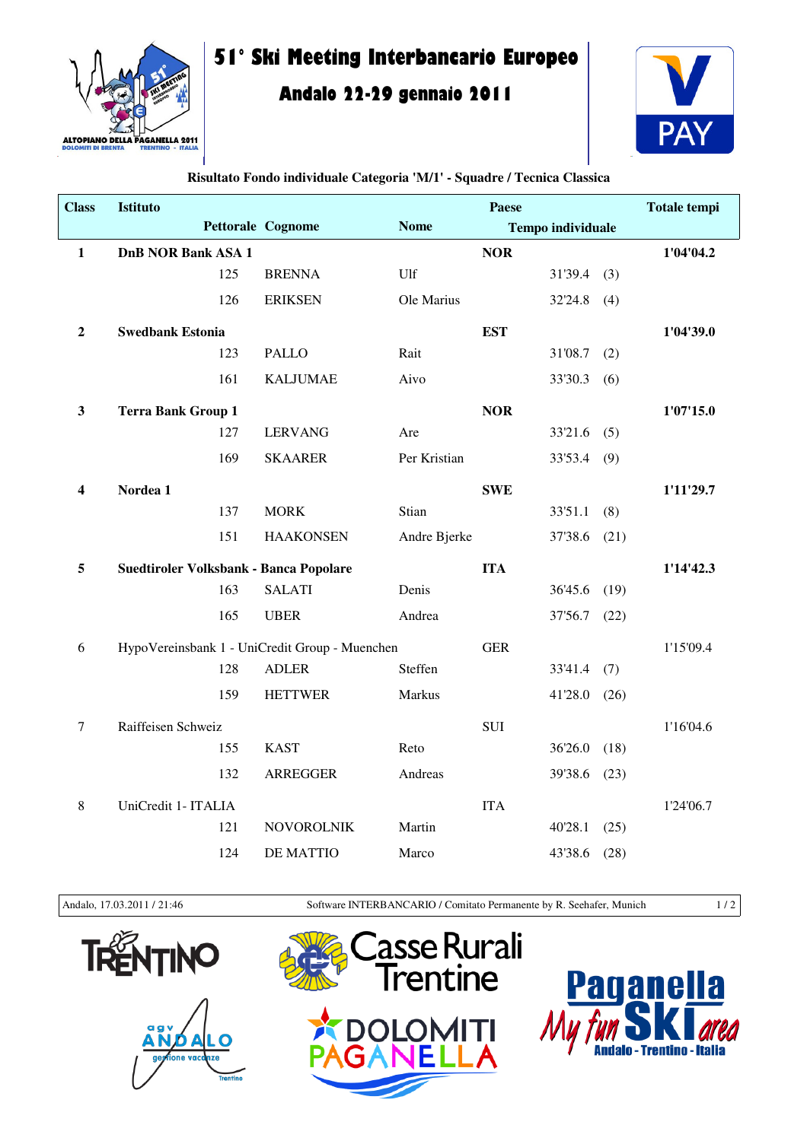

## **51° Ski Meeting Interbancario Europeo**

## **Andalo 22-29 gennaio 2011**



| <b>Class</b>   | <b>Istituto</b>                                |     |                   |              | <b>Paese</b> |                          |      | <b>Totale tempi</b> |
|----------------|------------------------------------------------|-----|-------------------|--------------|--------------|--------------------------|------|---------------------|
|                |                                                |     | Pettorale Cognome | <b>Nome</b>  |              | <b>Tempo individuale</b> |      |                     |
| $\mathbf{1}$   | <b>DnB NOR Bank ASA 1</b>                      |     |                   |              | <b>NOR</b>   |                          |      | 1'04'04.2           |
|                |                                                | 125 | <b>BRENNA</b>     | Ulf          |              | $31'39.4$ (3)            |      |                     |
|                |                                                | 126 | <b>ERIKSEN</b>    | Ole Marius   |              | 32'24.8                  | (4)  |                     |
| $\overline{2}$ | <b>Swedbank Estonia</b>                        |     |                   |              | <b>EST</b>   |                          |      | 1'04'39.0           |
|                |                                                | 123 | <b>PALLO</b>      | Rait         |              | 31'08.7                  | (2)  |                     |
|                |                                                | 161 | <b>KALJUMAE</b>   | Aivo         |              | 33'30.3                  | (6)  |                     |
| $\mathbf{3}$   | <b>Terra Bank Group 1</b>                      |     |                   |              | <b>NOR</b>   |                          |      | 1'07'15.0           |
|                |                                                | 127 | <b>LERVANG</b>    | Are          |              | $33'21.6$ (5)            |      |                     |
|                |                                                | 169 | <b>SKAARER</b>    | Per Kristian |              | 33'53.4 (9)              |      |                     |
| 4              | Nordea 1                                       |     |                   |              | <b>SWE</b>   |                          |      | 1'11'29.7           |
|                |                                                | 137 | <b>MORK</b>       | Stian        |              | 33'51.1                  | (8)  |                     |
|                |                                                | 151 | <b>HAAKONSEN</b>  | Andre Bjerke |              | 37'38.6 (21)             |      |                     |
| 5              | Suedtiroler Volksbank - Banca Popolare         |     |                   |              | <b>ITA</b>   |                          |      | 1'14'42.3           |
|                |                                                | 163 | <b>SALATI</b>     | Denis        |              | 36'45.6                  | (19) |                     |
|                |                                                | 165 | <b>UBER</b>       | Andrea       |              | 37'56.7                  | (22) |                     |
| 6              | HypoVereinsbank 1 - UniCredit Group - Muenchen |     |                   |              | <b>GER</b>   |                          |      | 1'15'09.4           |
|                |                                                | 128 | <b>ADLER</b>      | Steffen      |              | 33'41.4                  | (7)  |                     |
|                |                                                | 159 | <b>HETTWER</b>    | Markus       |              | 41'28.0                  | (26) |                     |
| $\tau$         | Raiffeisen Schweiz                             |     |                   |              | <b>SUI</b>   |                          |      | 1'16'04.6           |
|                |                                                | 155 | <b>KAST</b>       | Reto         |              | 36'26.0                  | (18) |                     |
|                |                                                | 132 | <b>ARREGGER</b>   | Andreas      |              | 39'38.6                  | (23) |                     |
| 8              | UniCredit 1- ITALIA                            |     |                   |              | <b>ITA</b>   |                          |      | 1'24'06.7           |
|                |                                                | 121 | <b>NOVOROLNIK</b> | Martin       |              | 40'28.1                  | (25) |                     |
|                |                                                | 124 | <b>DE MATTIO</b>  | Marco        |              | 43'38.6                  | (28) |                     |

## **Risultato Fondo individuale Categoria 'M/1' - Squadre / Tecnica Classica**

Andalo, 17.03.2011 / 21:46 Software INTERBANCARIO / Comitato Permanente by R. Seehafer, Munich 1 / 2